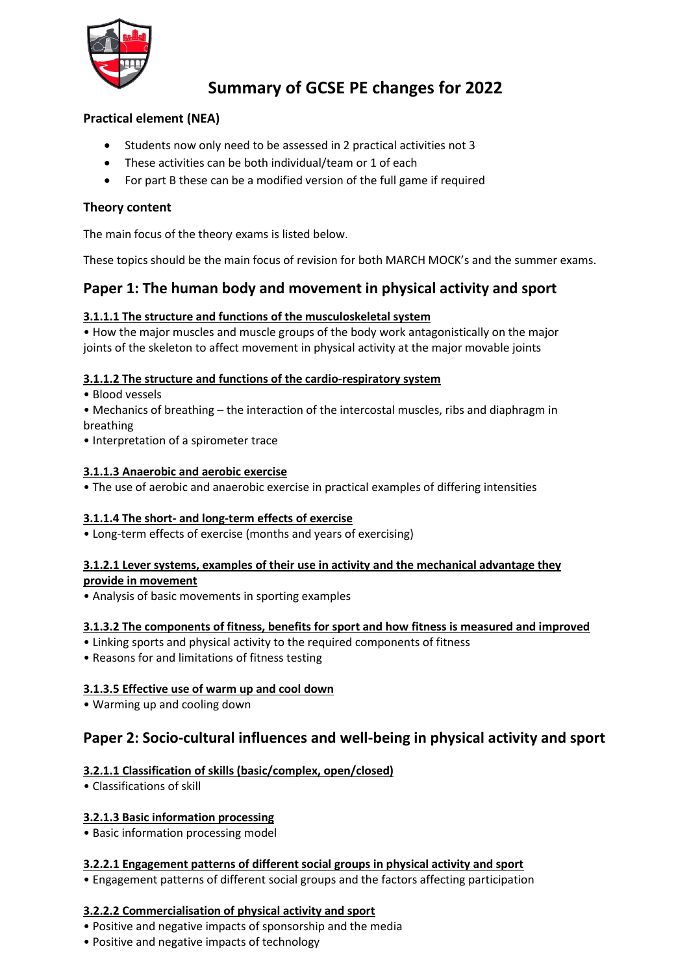

# **Summary of GCSE PE changes for 2022**

# **Practical element (NEA)**

- Students now only need to be assessed in 2 practical activities not 3
- These activities can be both individual/team or 1 of each
- For part B these can be a modified version of the full game if required

## **Theory content**

The main focus of the theory exams is listed below.

These topics should be the main focus of revision for both MARCH MOCK's and the summer exams.

# **Paper 1: The human body and movement in physical activity and sport**

## **3.1.1.1 The structure and functions of the musculoskeletal system**

• How the major muscles and muscle groups of the body work antagonistically on the major joints of the skeleton to affect movement in physical activity at the major movable joints

#### **3.1.1.2 The structure and functions of the cardio-respiratory system**

- Blood vessels
- Mechanics of breathing the interaction of the intercostal muscles, ribs and diaphragm in breathing
- Interpretation of a spirometer trace

#### **3.1.1.3 Anaerobic and aerobic exercise**

• The use of aerobic and anaerobic exercise in practical examples of differing intensities

#### **3.1.1.4 The short- and long-term effects of exercise**

• Long-term effects of exercise (months and years of exercising)

#### **3.1.2.1 Lever systems, examples of their use in activity and the mechanical advantage they**

**provide in movement**

• Analysis of basic movements in sporting examples

## **3.1.3.2 The components of fitness, benefits for sport and how fitness is measured and improved**

- Linking sports and physical activity to the required components of fitness
- Reasons for and limitations of fitness testing

## **3.1.3.5 Effective use of warm up and cool down**

• Warming up and cooling down

# **Paper 2: Socio-cultural influences and well-being in physical activity and sport**

## **3.2.1.1 Classification of skills (basic/complex, open/closed)**

• Classifications of skill

## **3.2.1.3 Basic information processing**

• Basic information processing model

## **3.2.2.1 Engagement patterns of different social groups in physical activity and sport**

• Engagement patterns of different social groups and the factors affecting participation

## **3.2.2.2 Commercialisation of physical activity and sport**

- Positive and negative impacts of sponsorship and the media
- Positive and negative impacts of technology